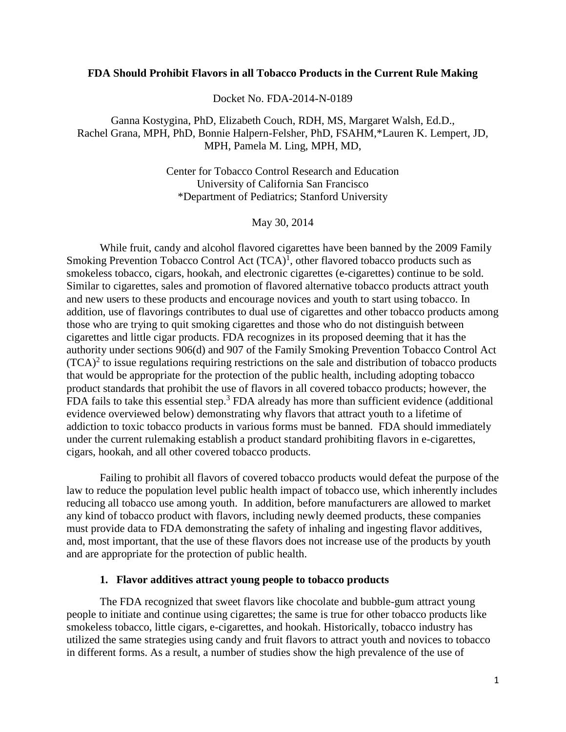#### **FDA Should Prohibit Flavors in all Tobacco Products in the Current Rule Making**

Docket No. FDA-2014-N-0189

Ganna Kostygina, PhD, Elizabeth Couch, RDH, MS, Margaret Walsh, Ed.D., Rachel Grana, MPH, PhD, Bonnie Halpern-Felsher, PhD, FSAHM,\*Lauren K. Lempert, JD, MPH, Pamela M. Ling, MPH, MD,

> Center for Tobacco Control Research and Education University of California San Francisco \*Department of Pediatrics; Stanford University

> > May 30, 2014

While fruit, candy and alcohol flavored cigarettes have been banned by the 2009 Family Smoking Prevention Tobacco Control Act  $(TCA)^1$ , other flavored tobacco products such as smokeless tobacco, cigars, hookah, and electronic cigarettes (e-cigarettes) continue to be sold. Similar to cigarettes, sales and promotion of flavored alternative tobacco products attract youth and new users to these products and encourage novices and youth to start using tobacco. In addition, use of flavorings contributes to dual use of cigarettes and other tobacco products among those who are trying to quit smoking cigarettes and those who do not distinguish between cigarettes and little cigar products. FDA recognizes in its proposed deeming that it has the authority under sections 906(d) and 907 of the Family Smoking Prevention Tobacco Control Act  $(TCA)^2$  to issue regulations requiring restrictions on the sale and distribution of tobacco products that would be appropriate for the protection of the public health, including adopting tobacco product standards that prohibit the use of flavors in all covered tobacco products; however, the FDA fails to take this essential step.<sup>3</sup> FDA already has more than sufficient evidence (additional evidence overviewed below) demonstrating why flavors that attract youth to a lifetime of addiction to toxic tobacco products in various forms must be banned. FDA should immediately under the current rulemaking establish a product standard prohibiting flavors in e-cigarettes, cigars, hookah, and all other covered tobacco products.

Failing to prohibit all flavors of covered tobacco products would defeat the purpose of the law to reduce the population level public health impact of tobacco use, which inherently includes reducing all tobacco use among youth. In addition, before manufacturers are allowed to market any kind of tobacco product with flavors, including newly deemed products, these companies must provide data to FDA demonstrating the safety of inhaling and ingesting flavor additives, and, most important, that the use of these flavors does not increase use of the products by youth and are appropriate for the protection of public health.

#### **1. Flavor additives attract young people to tobacco products**

The FDA recognized that sweet flavors like chocolate and bubble-gum attract young people to initiate and continue using cigarettes; the same is true for other tobacco products like smokeless tobacco, little cigars, e-cigarettes, and hookah. Historically, tobacco industry has utilized the same strategies using candy and fruit flavors to attract youth and novices to tobacco in different forms. As a result, a number of studies show the high prevalence of the use of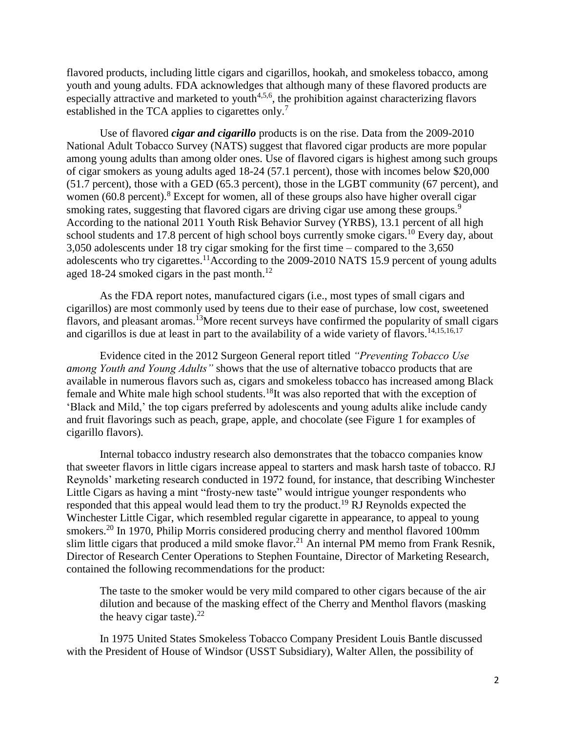flavored products, including little cigars and cigarillos, hookah, and smokeless tobacco, among youth and young adults. FDA acknowledges that although many of these flavored products are especially attractive and marketed to youth $4,5,6$ , the prohibition against characterizing flavors established in the TCA applies to cigarettes only.<sup>7</sup>

Use of flavored *cigar and cigarillo* products is on the rise. Data from the 2009-2010 National Adult Tobacco Survey (NATS) suggest that flavored cigar products are more popular among young adults than among older ones. Use of flavored cigars is highest among such groups of cigar smokers as young adults aged 18-24 (57.1 percent), those with incomes below \$20,000 (51.7 percent), those with a GED (65.3 percent), those in the LGBT community (67 percent), and women  $(60.8 \text{ percent})$ .<sup>8</sup> Except for women, all of these groups also have higher overall cigar smoking rates, suggesting that flavored cigars are driving cigar use among these groups.<sup>9</sup> According to the national 2011 Youth Risk Behavior Survey (YRBS), 13.1 percent of all high school students and 17.8 percent of high school boys currently smoke cigars.<sup>10</sup> Every day, about 3,050 adolescents under 18 try cigar smoking for the first time – compared to the 3,650 adolescents who try cigarettes.<sup>11</sup>According to the 2009-2010 NATS 15.9 percent of young adults aged 18-24 smoked cigars in the past month.<sup>12</sup>

As the FDA report notes, manufactured cigars (i.e., most types of small cigars and cigarillos) are most commonly used by teens due to their ease of purchase, low cost, sweetened flavors, and pleasant aromas.<sup>13</sup>More recent surveys have confirmed the popularity of small cigars and cigarillos is due at least in part to the availability of a wide variety of flavors.<sup>14,15,16,17</sup>

Evidence cited in the 2012 Surgeon General report titled *"Preventing Tobacco Use among Youth and Young Adults"* shows that the use of alternative tobacco products that are available in numerous flavors such as, cigars and smokeless tobacco has increased among Black female and White male high school students.<sup>18</sup>It was also reported that with the exception of 'Black and Mild,' the top cigars preferred by adolescents and young adults alike include candy and fruit flavorings such as peach, grape, apple, and chocolate (see Figure 1 for examples of cigarillo flavors).

Internal tobacco industry research also demonstrates that the tobacco companies know that sweeter flavors in little cigars increase appeal to starters and mask harsh taste of tobacco. RJ Reynolds' marketing research conducted in 1972 found, for instance, that describing Winchester Little Cigars as having a mint "frosty-new taste" would intrigue younger respondents who responded that this appeal would lead them to try the product.<sup>19</sup> RJ Reynolds expected the Winchester Little Cigar, which resembled regular cigarette in appearance, to appeal to young smokers.<sup>20</sup> In 1970, Philip Morris considered producing cherry and menthol flavored 100mm slim little cigars that produced a mild smoke flavor.<sup>21</sup> An internal PM memo from Frank Resnik, Director of Research Center Operations to Stephen Fountaine, Director of Marketing Research, contained the following recommendations for the product:

The taste to the smoker would be very mild compared to other cigars because of the air dilution and because of the masking effect of the Cherry and Menthol flavors (masking the heavy cigar taste). $^{22}$ 

In 1975 United States Smokeless Tobacco Company President Louis Bantle discussed with the President of House of Windsor (USST Subsidiary), Walter Allen, the possibility of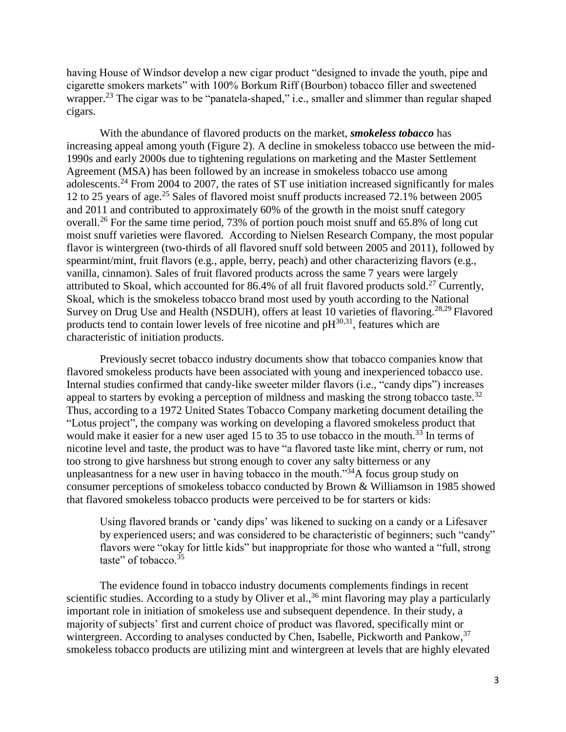having House of Windsor develop a new cigar product "designed to invade the youth, pipe and cigarette smokers markets" with 100% Borkum Riff (Bourbon) tobacco filler and sweetened wrapper.<sup>23</sup> The cigar was to be "panatela-shaped," i.e., smaller and slimmer than regular shaped cigars.

With the abundance of flavored products on the market, *smokeless tobacco* has increasing appeal among youth (Figure 2). A decline in smokeless tobacco use between the mid-1990s and early 2000s due to tightening regulations on marketing and the Master Settlement Agreement (MSA) has been followed by an increase in smokeless tobacco use among adolescents.<sup>24</sup> From 2004 to 2007, the rates of ST use initiation increased significantly for males 12 to 25 years of age.<sup>25</sup> Sales of flavored moist snuff products increased 72.1% between 2005 and 2011 and contributed to approximately 60% of the growth in the moist snuff category overall.<sup>26</sup> For the same time period, 73% of portion pouch moist snuff and 65.8% of long cut moist snuff varieties were flavored. According to Nielsen Research Company, the most popular flavor is wintergreen (two-thirds of all flavored snuff sold between 2005 and 2011), followed by spearmint/mint, fruit flavors (e.g., apple, berry, peach) and other characterizing flavors (e.g., vanilla, cinnamon). Sales of fruit flavored products across the same 7 years were largely attributed to Skoal, which accounted for 86.4% of all fruit flavored products sold.<sup>27</sup> Currently, Skoal, which is the smokeless tobacco brand most used by youth according to the National Survey on Drug Use and Health (NSDUH), offers at least 10 varieties of flavoring.<sup>28,29</sup> Flavored products tend to contain lower levels of free nicotine and  $pH^{30,31}$ , features which are characteristic of initiation products.

Previously secret tobacco industry documents show that tobacco companies know that flavored smokeless products have been associated with young and inexperienced tobacco use. Internal studies confirmed that candy-like sweeter milder flavors (i.e., "candy dips") increases appeal to starters by evoking a perception of mildness and masking the strong tobacco taste.<sup>32</sup> Thus, according to a 1972 United States Tobacco Company marketing document detailing the "Lotus project", the company was working on developing a flavored smokeless product that would make it easier for a new user aged 15 to 35 to use tobacco in the mouth.<sup>33</sup> In terms of nicotine level and taste, the product was to have "a flavored taste like mint, cherry or rum, not too strong to give harshness but strong enough to cover any salty bitterness or any unpleasantness for a new user in having tobacco in the mouth.<sup>334</sup>A focus group study on consumer perceptions of smokeless tobacco conducted by Brown & Williamson in 1985 showed that flavored smokeless tobacco products were perceived to be for starters or kids:

Using flavored brands or 'candy dips' was likened to sucking on a candy or a Lifesaver by experienced users; and was considered to be characteristic of beginners; such "candy" flavors were "okay for little kids" but inappropriate for those who wanted a "full, strong taste" of tobacco. $35$ 

The evidence found in tobacco industry documents complements findings in recent scientific studies. According to a study by Oliver et al.,<sup>36</sup> mint flavoring may play a particularly important role in initiation of smokeless use and subsequent dependence. In their study, a majority of subjects' first and current choice of product was flavored, specifically mint or wintergreen. According to analyses conducted by Chen, Isabelle, Pickworth and Pankow,<sup>37</sup> smokeless tobacco products are utilizing mint and wintergreen at levels that are highly elevated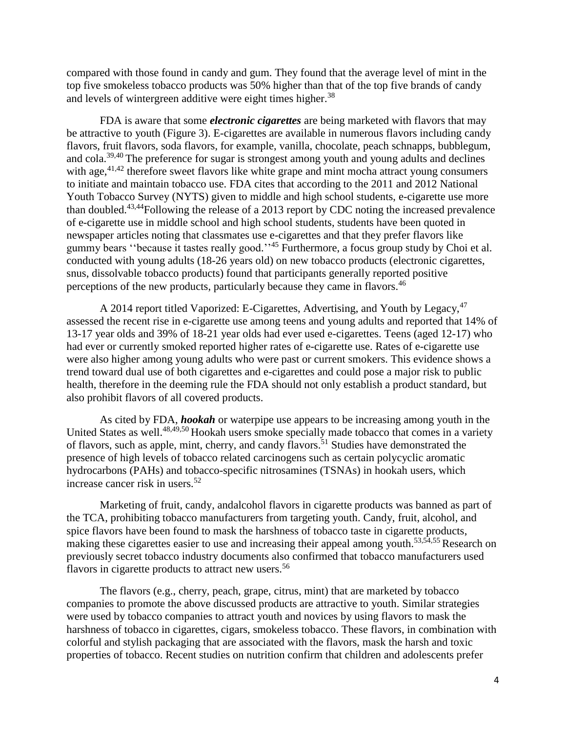compared with those found in candy and gum. They found that the average level of mint in the top five smokeless tobacco products was 50% higher than that of the top five brands of candy and levels of wintergreen additive were eight times higher.<sup>38</sup>

FDA is aware that some *electronic cigarettes* are being marketed with flavors that may be attractive to youth (Figure 3). E-cigarettes are available in numerous flavors including candy flavors, fruit flavors, soda flavors, for example, vanilla, chocolate, peach schnapps, bubblegum, and cola.<sup>39,40</sup> The preference for sugar is strongest among youth and young adults and declines with age,<sup>41,42</sup> therefore sweet flavors like white grape and mint mocha attract young consumers to initiate and maintain tobacco use. FDA cites that according to the 2011 and 2012 National Youth Tobacco Survey (NYTS) given to middle and high school students, e-cigarette use more than doubled.43,44Following the release of a 2013 report by CDC noting the increased prevalence of e-cigarette use in middle school and high school students, students have been quoted in newspaper articles noting that classmates use e-cigarettes and that they prefer flavors like gummy bears "because it tastes really good."<sup>45</sup> Furthermore, a focus group study by Choi et al. conducted with young adults (18-26 years old) on new tobacco products (electronic cigarettes, snus, dissolvable tobacco products) found that participants generally reported positive perceptions of the new products, particularly because they came in flavors.<sup>46</sup>

A 2014 report titled Vaporized: E-Cigarettes, Advertising, and Youth by Legacy,<sup>47</sup> assessed the recent rise in e-cigarette use among teens and young adults and reported that 14% of 13-17 year olds and 39% of 18-21 year olds had ever used e-cigarettes. Teens (aged 12-17) who had ever or currently smoked reported higher rates of e-cigarette use. Rates of e-cigarette use were also higher among young adults who were past or current smokers. This evidence shows a trend toward dual use of both cigarettes and e-cigarettes and could pose a major risk to public health, therefore in the deeming rule the FDA should not only establish a product standard, but also prohibit flavors of all covered products.

As cited by FDA, *hookah* or waterpipe use appears to be increasing among youth in the United States as well.<sup>48,49,50</sup> Hookah users smoke specially made tobacco that comes in a variety of flavors, such as apple, mint, cherry, and candy flavors.<sup>51</sup> Studies have demonstrated the presence of high levels of tobacco related carcinogens such as certain polycyclic aromatic hydrocarbons (PAHs) and tobacco-specific nitrosamines (TSNAs) in hookah users, which increase cancer risk in users.<sup>52</sup>

Marketing of fruit, candy, andalcohol flavors in cigarette products was banned as part of the TCA, prohibiting tobacco manufacturers from targeting youth. Candy, fruit, alcohol, and spice flavors have been found to mask the harshness of tobacco taste in cigarette products, making these cigarettes easier to use and increasing their appeal among youth.<sup>53,54</sup>,55 Research on previously secret tobacco industry documents also confirmed that tobacco manufacturers used flavors in cigarette products to attract new users.<sup>56</sup>

The flavors (e.g., cherry, peach, grape, citrus, mint) that are marketed by tobacco companies to promote the above discussed products are attractive to youth. Similar strategies were used by tobacco companies to attract youth and novices by using flavors to mask the harshness of tobacco in cigarettes, cigars, smokeless tobacco. These flavors, in combination with colorful and stylish packaging that are associated with the flavors, mask the harsh and toxic properties of tobacco. Recent studies on nutrition confirm that children and adolescents prefer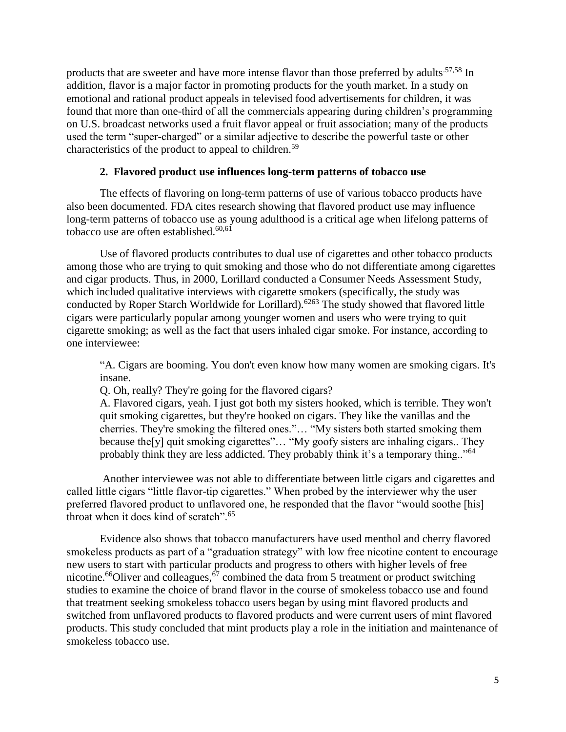products that are sweeter and have more intense flavor than those preferred by adults<sup>57,58</sup> In addition, flavor is a major factor in promoting products for the youth market. In a study on emotional and rational product appeals in televised food advertisements for children, it was found that more than one-third of all the commercials appearing during children's programming on U.S. broadcast networks used a fruit flavor appeal or fruit association; many of the products used the term "super-charged" or a similar adjective to describe the powerful taste or other characteristics of the product to appeal to children.<sup>59</sup>

# **2. Flavored product use influences long-term patterns of tobacco use**

The effects of flavoring on long-term patterns of use of various tobacco products have also been documented. FDA cites research showing that flavored product use may influence long-term patterns of tobacco use as young adulthood is a critical age when lifelong patterns of tobacco use are often established. 60,61

Use of flavored products contributes to dual use of cigarettes and other tobacco products among those who are trying to quit smoking and those who do not differentiate among cigarettes and cigar products. Thus, in 2000, Lorillard conducted a Consumer Needs Assessment Study, which included qualitative interviews with cigarette smokers (specifically, the study was conducted by Roper Starch Worldwide for Lorillard).<sup>6263</sup> The study showed that flavored little cigars were particularly popular among younger women and users who were trying to quit cigarette smoking; as well as the fact that users inhaled cigar smoke. For instance, according to one interviewee:

"A. Cigars are booming. You don't even know how many women are smoking cigars. It's insane.

Q. Oh, really? They're going for the flavored cigars?

A. Flavored cigars, yeah. I just got both my sisters hooked, which is terrible. They won't quit smoking cigarettes, but they're hooked on cigars. They like the vanillas and the cherries. They're smoking the filtered ones."… "My sisters both started smoking them because the[y] quit smoking cigarettes"... "My goofy sisters are inhaling cigars.. They probably think they are less addicted. They probably think it's a temporary thing.."<sup>64</sup>

Another interviewee was not able to differentiate between little cigars and cigarettes and called little cigars "little flavor-tip cigarettes." When probed by the interviewer why the user preferred flavored product to unflavored one, he responded that the flavor "would soothe [his] throat when it does kind of scratch".<sup>65</sup>

Evidence also shows that tobacco manufacturers have used menthol and cherry flavored smokeless products as part of a "graduation strategy" with low free nicotine content to encourage new users to start with particular products and progress to others with higher levels of free nicotine.<sup>66</sup>Oliver and colleagues,  $\frac{67}{7}$  combined the data from 5 treatment or product switching studies to examine the choice of brand flavor in the course of smokeless tobacco use and found that treatment seeking smokeless tobacco users began by using mint flavored products and switched from unflavored products to flavored products and were current users of mint flavored products. This study concluded that mint products play a role in the initiation and maintenance of smokeless tobacco use.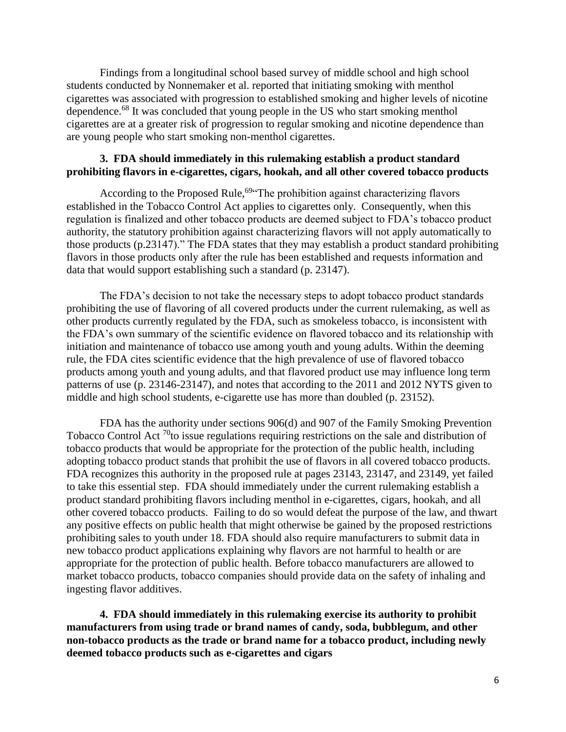Findings from a longitudinal school based survey of middle school and high school students conducted by Nonnemaker et al. reported that initiating smoking with menthol cigarettes was associated with progression to established smoking and higher levels of nicotine dependence.<sup>68</sup> It was concluded that young people in the US who start smoking menthol cigarettes are at a greater risk of progression to regular smoking and nicotine dependence than are young people who start smoking non-menthol cigarettes.

# **3. FDA should immediately in this rulemaking establish a product standard prohibiting flavors in e-cigarettes, cigars, hookah, and all other covered tobacco products**

According to the Proposed Rule,<sup>69</sup> The prohibition against characterizing flavors established in the Tobacco Control Act applies to cigarettes only. Consequently, when this regulation is finalized and other tobacco products are deemed subject to FDA's tobacco product authority, the statutory prohibition against characterizing flavors will not apply automatically to those products (p.23147)." The FDA states that they may establish a product standard prohibiting flavors in those products only after the rule has been established and requests information and data that would support establishing such a standard (p. 23147).

The FDA's decision to not take the necessary steps to adopt tobacco product standards prohibiting the use of flavoring of all covered products under the current rulemaking, as well as other products currently regulated by the FDA, such as smokeless tobacco, is inconsistent with the FDA's own summary of the scientific evidence on flavored tobacco and its relationship with initiation and maintenance of tobacco use among youth and young adults. Within the deeming rule, the FDA cites scientific evidence that the high prevalence of use of flavored tobacco products among youth and young adults, and that flavored product use may influence long term patterns of use (p. 23146-23147), and notes that according to the 2011 and 2012 NYTS given to middle and high school students, e-cigarette use has more than doubled (p. 23152).

FDA has the authority under sections 906(d) and 907 of the Family Smoking Prevention Tobacco Control Act<sup>70</sup>to issue regulations requiring restrictions on the sale and distribution of tobacco products that would be appropriate for the protection of the public health, including adopting tobacco product stands that prohibit the use of flavors in all covered tobacco products. FDA recognizes this authority in the proposed rule at pages 23143, 23147, and 23149, yet failed to take this essential step. FDA should immediately under the current rulemaking establish a product standard prohibiting flavors including menthol in e-cigarettes, cigars, hookah, and all other covered tobacco products. Failing to do so would defeat the purpose of the law, and thwart any positive effects on public health that might otherwise be gained by the proposed restrictions prohibiting sales to youth under 18. FDA should also require manufacturers to submit data in new tobacco product applications explaining why flavors are not harmful to health or are appropriate for the protection of public health. Before tobacco manufacturers are allowed to market tobacco products, tobacco companies should provide data on the safety of inhaling and ingesting flavor additives.

**4. FDA should immediately in this rulemaking exercise its authority to prohibit manufacturers from using trade or brand names of candy, soda, bubblegum, and other non-tobacco products as the trade or brand name for a tobacco product, including newly deemed tobacco products such as e-cigarettes and cigars**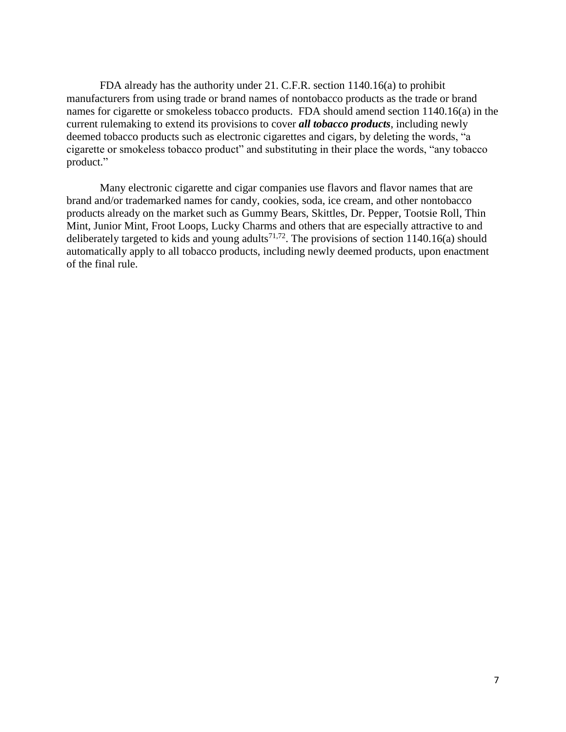FDA already has the authority under 21. C.F.R. section 1140.16(a) to prohibit manufacturers from using trade or brand names of nontobacco products as the trade or brand names for cigarette or smokeless tobacco products. FDA should amend section 1140.16(a) in the current rulemaking to extend its provisions to cover *all tobacco products*, including newly deemed tobacco products such as electronic cigarettes and cigars, by deleting the words, "a cigarette or smokeless tobacco product" and substituting in their place the words, "any tobacco product."

Many electronic cigarette and cigar companies use flavors and flavor names that are brand and/or trademarked names for candy, cookies, soda, ice cream, and other nontobacco products already on the market such as Gummy Bears, Skittles, Dr. Pepper, Tootsie Roll, Thin Mint, Junior Mint, Froot Loops, Lucky Charms and others that are especially attractive to and deliberately targeted to kids and young adults<sup>71,72</sup>. The provisions of section 1140.16(a) should automatically apply to all tobacco products, including newly deemed products, upon enactment of the final rule.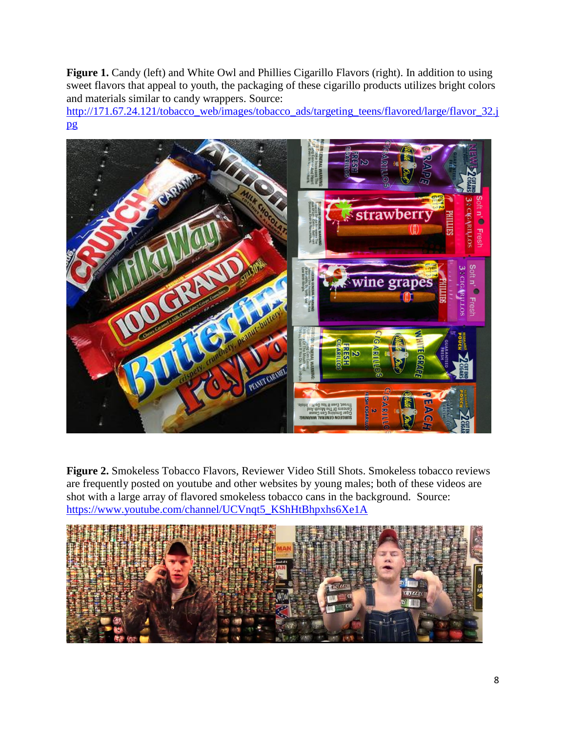**Figure 1.** Candy (left) and White Owl and Phillies Cigarillo Flavors (right). In addition to using sweet flavors that appeal to youth, the packaging of these cigarillo products utilizes bright colors and materials similar to candy wrappers. Source:

[http://171.67.24.121/tobacco\\_web/images/tobacco\\_ads/targeting\\_teens/flavored/large/flavor\\_32.j](http://171.67.24.121/tobacco_web/images/tobacco_ads/targeting_teens/flavored/large/flavor_32.jpg) [pg](http://171.67.24.121/tobacco_web/images/tobacco_ads/targeting_teens/flavored/large/flavor_32.jpg)



**Figure 2.** Smokeless Tobacco Flavors, Reviewer Video Still Shots. Smokeless tobacco reviews are frequently posted on youtube and other websites by young males; both of these videos are shot with a large array of flavored smokeless tobacco cans in the background. Source: [https://www.youtube.com/channel/UCVnqt5\\_KShHtBhpxhs6Xe1A](https://www.youtube.com/channel/UCVnqt5_KShHtBhpxhs6Xe1A)

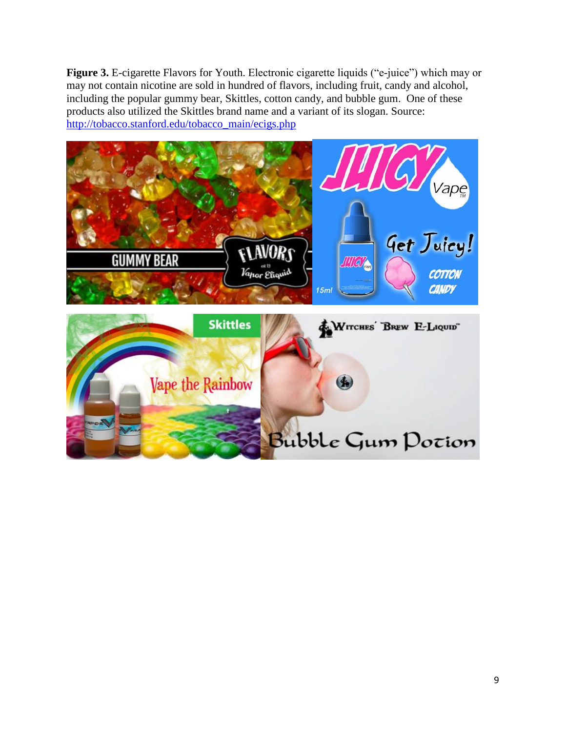**Figure 3.** E-cigarette Flavors for Youth. Electronic cigarette liquids ("e-juice") which may or may not contain nicotine are sold in hundred of flavors, including fruit, candy and alcohol, including the popular gummy bear, Skittles, cotton candy, and bubble gum. One of these products also utilized the Skittles brand name and a variant of its slogan. Source: [http://tobacco.stanford.edu/tobacco\\_main/ecigs.php](http://tobacco.stanford.edu/tobacco_main/ecigs.php)

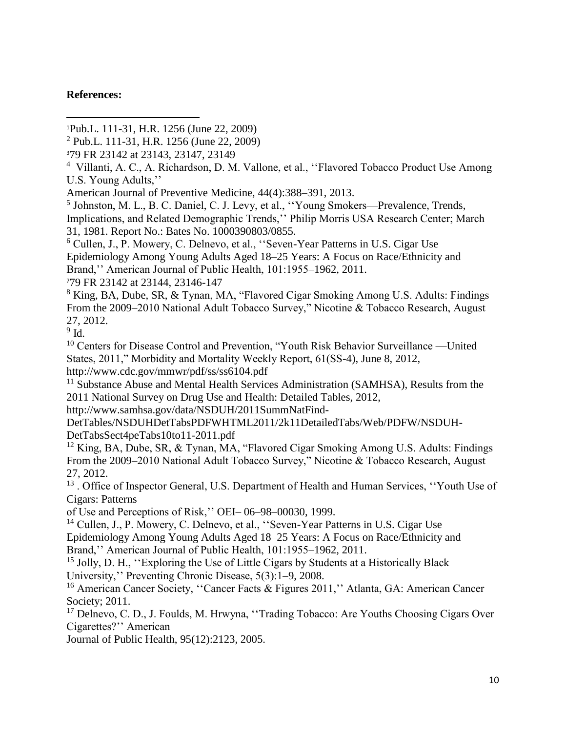# **References:**

 $\overline{a}$ 

- <sup>1</sup>Pub.L. 111-31, H.R. 1256 (June 22, 2009)
- $^{2}$  Pub.L. 111-31, H.R. 1256 (June 22, 2009)
- <sup>3</sup>79 FR 23142 at 23143, 23147, 23149
- <sup>4</sup> Villanti, A. C., A. Richardson, D. M. Vallone, et al., "Flavored Tobacco Product Use Among U.S. Young Adults,''
- American Journal of Preventive Medicine, 44(4):388–391, 2013.

<sup>5</sup> Johnston, M. L., B. C. Daniel, C. J. Levy, et al., "Young Smokers—Prevalence, Trends, Implications, and Related Demographic Trends,'' Philip Morris USA Research Center; March 31, 1981. Report No.: Bates No. 1000390803/0855.

<sup>6</sup> Cullen, J., P. Mowery, C. Delnevo, et al., ''Seven-Year Patterns in U.S. Cigar Use Epidemiology Among Young Adults Aged 18–25 Years: A Focus on Race/Ethnicity and Brand,'' American Journal of Public Health, 101:1955–1962, 2011.

<sup>7</sup>79 FR 23142 at 23144, 23146-147

<sup>8</sup> King, BA, Dube, SR, & Tynan, MA, "Flavored Cigar Smoking Among U.S. Adults: Findings From the 2009–2010 National Adult Tobacco Survey," Nicotine & Tobacco Research, August 27, 2012.

 $9$  Id.

<sup>10</sup> Centers for Disease Control and Prevention, "Youth Risk Behavior Surveillance —United States, 2011," Morbidity and Mortality Weekly Report, 61(SS-4), June 8, 2012, http://www.cdc.gov/mmwr/pdf/ss/ss6104.pdf

<sup>11</sup> Substance Abuse and Mental Health Services Administration (SAMHSA), Results from the 2011 National Survey on Drug Use and Health: Detailed Tables, 2012,

http://www.samhsa.gov/data/NSDUH/2011SummNatFind-

DetTables/NSDUHDetTabsPDFWHTML2011/2k11DetailedTabs/Web/PDFW/NSDUH-DetTabsSect4peTabs10to11-2011.pdf

<sup>12</sup> King, BA, Dube, SR, & Tynan, MA, "Flavored Cigar Smoking Among U.S. Adults: Findings From the 2009–2010 National Adult Tobacco Survey," Nicotine & Tobacco Research, August 27, 2012.

<sup>13</sup>. Office of Inspector General, U.S. Department of Health and Human Services, "Youth Use of Cigars: Patterns

of Use and Perceptions of Risk,'' OEI– 06–98–00030, 1999.

<sup>14</sup> Cullen, J., P. Mowery, C. Delnevo, et al., ''Seven-Year Patterns in U.S. Cigar Use Epidemiology Among Young Adults Aged 18–25 Years: A Focus on Race/Ethnicity and Brand,'' American Journal of Public Health, 101:1955–1962, 2011.

 $15$  Jolly, D. H., "Exploring the Use of Little Cigars by Students at a Historically Black University,'' Preventing Chronic Disease, 5(3):1–9, 2008.

<sup>16</sup> American Cancer Society, "Cancer Facts & Figures 2011," Atlanta, GA: American Cancer Society; 2011.

<sup>17</sup> Delnevo, C. D., J. Foulds, M. Hrwyna, "Trading Tobacco: Are Youths Choosing Cigars Over Cigarettes?'' American

Journal of Public Health, 95(12):2123, 2005.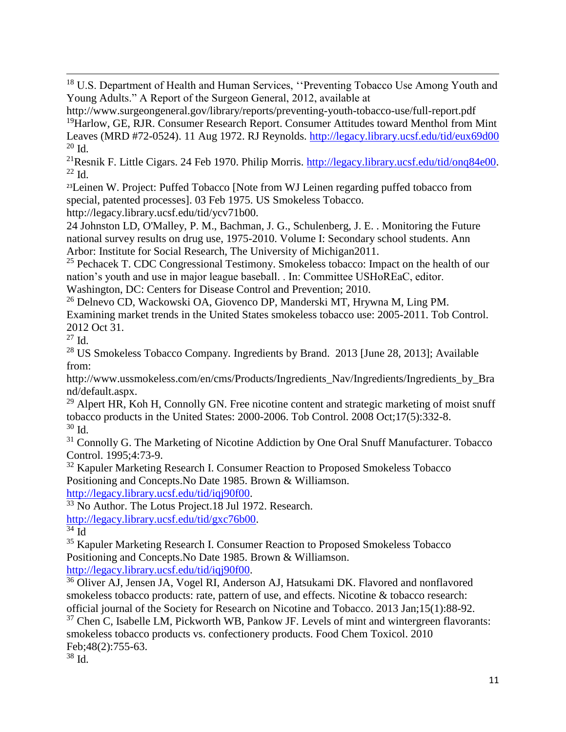$\overline{\phantom{a}}$ <sup>18</sup> U.S. Department of Health and Human Services, "Preventing Tobacco Use Among Youth and Young Adults." A Report of the Surgeon General, 2012, available at

http://www.surgeongeneral.gov/library/reports/preventing-youth-tobacco-use/full-report.pdf <sup>19</sup>Harlow, GE, RJR. Consumer Research Report. Consumer Attitudes toward Menthol from Mint Leaves (MRD #72-0524). 11 Aug 1972. RJ Reynolds.<http://legacy.library.ucsf.edu/tid/eux69d00>  $20$  Id.

<sup>21</sup>Resnik F. Little Cigars. 24 Feb 1970. Philip Morris. [http://legacy.library.ucsf.edu/tid/onq84e00.](http://legacy.library.ucsf.edu/tid/onq84e00)  $^{22}$  Id.

<sup>23</sup>Leinen W. Project: Puffed Tobacco [Note from WJ Leinen regarding puffed tobacco from special, patented processes]. 03 Feb 1975. US Smokeless Tobacco.

http://legacy.library.ucsf.edu/tid/ycv71b00.

24 Johnston LD, O'Malley, P. M., Bachman, J. G., Schulenberg, J. E. . Monitoring the Future national survey results on drug use, 1975-2010. Volume I: Secondary school students. Ann Arbor: Institute for Social Research, The University of Michigan2011.

<sup>25</sup> Pechacek T. CDC Congressional Testimony. Smokeless tobacco: Impact on the health of our nation's youth and use in major league baseball. . In: Committee USHoREaC, editor. Washington, DC: Centers for Disease Control and Prevention; 2010.

<sup>26</sup> Delnevo CD, Wackowski OA, Giovenco DP, Manderski MT, Hrywna M, Ling PM. Examining market trends in the United States smokeless tobacco use: 2005-2011. Tob Control. 2012 Oct 31.

<sup>27</sup> Id.

<sup>28</sup> US Smokeless Tobacco Company. Ingredients by Brand. 2013 [June 28, 2013]; Available from:

http://www.ussmokeless.com/en/cms/Products/Ingredients\_Nav/Ingredients/Ingredients\_by\_Bra nd/default.aspx.

 $29$  Alpert HR, Koh H, Connolly GN. Free nicotine content and strategic marketing of moist snuff tobacco products in the United States: 2000-2006. Tob Control. 2008 Oct;17(5):332-8. <sup>30</sup> Id.

<sup>31</sup> Connolly G. The Marketing of Nicotine Addiction by One Oral Snuff Manufacturer. Tobacco Control. 1995;4:73-9.

<sup>32</sup> Kapuler Marketing Research I. Consumer Reaction to Proposed Smokeless Tobacco Positioning and Concepts.No Date 1985. Brown & Williamson.

[http://legacy.library.ucsf.edu/tid/iqj90f00.](http://legacy.library.ucsf.edu/tid/iqj90f00)

<sup>33</sup> No Author. The Lotus Project.18 Jul 1972. Research.

[http://legacy.library.ucsf.edu/tid/gxc76b00.](http://legacy.library.ucsf.edu/tid/gxc76b00)

 $34 \overline{Id}$ 

<sup>35</sup> Kapuler Marketing Research I. Consumer Reaction to Proposed Smokeless Tobacco Positioning and Concepts.No Date 1985. Brown & Williamson.

[http://legacy.library.ucsf.edu/tid/iqj90f00.](http://legacy.library.ucsf.edu/tid/iqj90f00)

<sup>36</sup> Oliver AJ, Jensen JA, Vogel RI, Anderson AJ, Hatsukami DK. Flavored and nonflavored smokeless tobacco products: rate, pattern of use, and effects. Nicotine & tobacco research: official journal of the Society for Research on Nicotine and Tobacco. 2013 Jan;15(1):88-92.

 $37$  Chen C, Isabelle LM, Pickworth WB, Pankow JF. Levels of mint and wintergreen flavorants: smokeless tobacco products vs. confectionery products. Food Chem Toxicol. 2010 Feb;48(2):755-63.

<sup>38</sup> Id.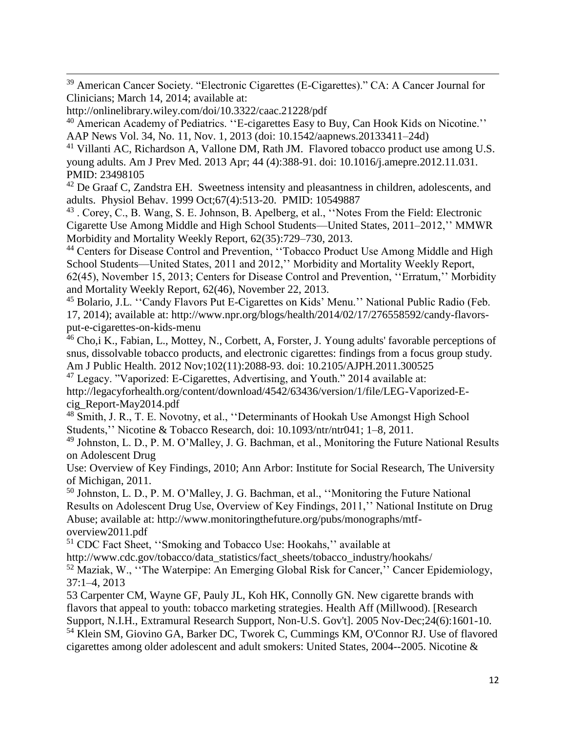$\overline{\phantom{a}}$ <sup>39</sup> American Cancer Society. "Electronic Cigarettes (E-Cigarettes)." CA: A Cancer Journal for Clinicians; March 14, 2014; available at:

http://onlinelibrary.wiley.com/doi/10.3322/caac.21228/pdf

<sup>40</sup> American Academy of Pediatrics. "E-cigarettes Easy to Buy, Can Hook Kids on Nicotine." AAP News Vol. 34, No. 11, Nov. 1, 2013 (doi: 10.1542/aapnews.20133411–24d)

<sup>41</sup> Villanti AC, Richardson A, Vallone DM, Rath JM. Flavored tobacco product use among U.S. young adults. Am J Prev Med. 2013 Apr; 44 (4):388-91. doi: 10.1016/j.amepre.2012.11.031. PMID: 23498105

 $42$  De Graaf C, Zandstra EH. Sweetness intensity and pleasantness in children, adolescents, and adults. Physiol Behav. 1999 Oct;67(4):513-20. PMID: 10549887

<sup>43</sup> . Corey, C., B. Wang, S. E. Johnson, B. Apelberg, et al., "Notes From the Field: Electronic Cigarette Use Among Middle and High School Students—United States, 2011–2012,'' MMWR Morbidity and Mortality Weekly Report, 62(35):729–730, 2013.

<sup>44</sup> Centers for Disease Control and Prevention, "Tobacco Product Use Among Middle and High School Students—United States, 2011 and 2012,'' Morbidity and Mortality Weekly Report, 62(45), November 15, 2013; Centers for Disease Control and Prevention, ''Erratum,'' Morbidity and Mortality Weekly Report, 62(46), November 22, 2013.

<sup>45</sup> Bolario, J.L. "Candy Flavors Put E-Cigarettes on Kids' Menu." National Public Radio (Feb. 17, 2014); available at: http://www.npr.org/blogs/health/2014/02/17/276558592/candy-flavorsput-e-cigarettes-on-kids-menu

<sup>46</sup> Cho,i K., Fabian, L., Mottey, N., Corbett, A., Forster, J. Young adults' favorable perceptions of snus, dissolvable tobacco products, and electronic cigarettes: findings from a focus group study. Am J Public Health. 2012 Nov;102(11):2088-93. doi: 10.2105/AJPH.2011.300525

<sup>47</sup> Legacy. "Vaporized: E-Cigarettes, Advertising, and Youth." 2014 available at: http://legacyforhealth.org/content/download/4542/63436/version/1/file/LEG-Vaporized-Ecig\_Report-May2014.pdf

<sup>48</sup> Smith, J. R., T. E. Novotny, et al., "Determinants of Hookah Use Amongst High School Students,'' Nicotine & Tobacco Research, doi: 10.1093/ntr/ntr041; 1–8, 2011.

<sup>49</sup> Johnston, L. D., P. M. O'Malley, J. G. Bachman, et al., Monitoring the Future National Results on Adolescent Drug

Use: Overview of Key Findings, 2010; Ann Arbor: Institute for Social Research, The University of Michigan, 2011.

<sup>50</sup> Johnston, L. D., P. M. O'Malley, J. G. Bachman, et al., ''Monitoring the Future National Results on Adolescent Drug Use, Overview of Key Findings, 2011,'' National Institute on Drug Abuse; available at: http://www.monitoringthefuture.org/pubs/monographs/mtfoverview2011.pdf

<sup>51</sup> CDC Fact Sheet, ''Smoking and Tobacco Use: Hookahs,'' available at

http://www.cdc.gov/tobacco/data\_statistics/fact\_sheets/tobacco\_industry/hookahs/

<sup>52</sup> Maziak, W., ''The Waterpipe: An Emerging Global Risk for Cancer,'' Cancer Epidemiology, 37:1–4, 2013

53 Carpenter CM, Wayne GF, Pauly JL, Koh HK, Connolly GN. New cigarette brands with flavors that appeal to youth: tobacco marketing strategies. Health Aff (Millwood). [Research Support, N.I.H., Extramural Research Support, Non-U.S. Gov't]. 2005 Nov-Dec;24(6):1601-10. <sup>54</sup> Klein SM, Giovino GA, Barker DC, Tworek C, Cummings KM, O'Connor RJ. Use of flavored cigarettes among older adolescent and adult smokers: United States, 2004--2005. Nicotine &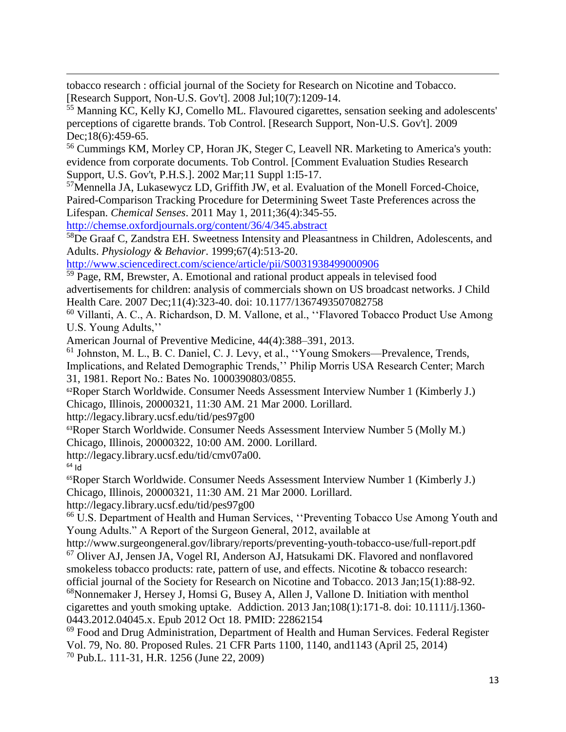tobacco research : official journal of the Society for Research on Nicotine and Tobacco. [Research Support, Non-U.S. Gov't]. 2008 Jul;10(7):1209-14.

<sup>55</sup> Manning KC, Kelly KJ, Comello ML. Flavoured cigarettes, sensation seeking and adolescents' perceptions of cigarette brands. Tob Control. [Research Support, Non-U.S. Gov't]. 2009 Dec;18(6):459-65.

<sup>56</sup> Cummings KM, Morley CP, Horan JK, Steger C, Leavell NR. Marketing to America's youth: evidence from corporate documents. Tob Control. [Comment Evaluation Studies Research Support, U.S. Gov't, P.H.S.]. 2002 Mar;11 Suppl 1:I5-17.

<sup>57</sup>Mennella JA, Lukasewycz LD, Griffith JW, et al. Evaluation of the Monell Forced-Choice, Paired-Comparison Tracking Procedure for Determining Sweet Taste Preferences across the Lifespan. *Chemical Senses*. 2011 May 1, 2011;36(4):345-55.

<http://chemse.oxfordjournals.org/content/36/4/345.abstract>

<sup>58</sup>De Graaf C, Zandstra EH. Sweetness Intensity and Pleasantness in Children, Adolescents, and Adults. *Physiology & Behavior*. 1999;67(4):513-20.

<http://www.sciencedirect.com/science/article/pii/S0031938499000906>

<sup>59</sup> Page, RM, Brewster, A. Emotional and rational product appeals in televised food advertisements for children: analysis of commercials shown on US broadcast networks. J Child Health Care. 2007 Dec;11(4):323-40. doi: 10.1177/1367493507082758

<sup>60</sup> Villanti, A. C., A. Richardson, D. M. Vallone, et al., ''Flavored Tobacco Product Use Among U.S. Young Adults,''

American Journal of Preventive Medicine, 44(4):388–391, 2013.

<sup>61</sup> Johnston, M. L., B. C. Daniel, C. J. Levy, et al., ''Young Smokers—Prevalence, Trends, Implications, and Related Demographic Trends,'' Philip Morris USA Research Center; March 31, 1981. Report No.: Bates No. 1000390803/0855.

<sup>62</sup>Roper Starch Worldwide. Consumer Needs Assessment Interview Number 1 (Kimberly J.) Chicago, Illinois, 20000321, 11:30 AM. 21 Mar 2000. Lorillard.

http://legacy.library.ucsf.edu/tid/pes97g00

<sup>63</sup>Roper Starch Worldwide. Consumer Needs Assessment Interview Number 5 (Molly M.)

Chicago, Illinois, 20000322, 10:00 AM. 2000. Lorillard.

http://legacy.library.ucsf.edu/tid/cmv07a00.

 $64$  Id

 $\overline{\phantom{a}}$ 

<sup>65</sup>Roper Starch Worldwide. Consumer Needs Assessment Interview Number 1 (Kimberly J.) Chicago, Illinois, 20000321, 11:30 AM. 21 Mar 2000. Lorillard.

http://legacy.library.ucsf.edu/tid/pes97g00

<sup>66</sup> U.S. Department of Health and Human Services, "Preventing Tobacco Use Among Youth and Young Adults." A Report of the Surgeon General, 2012, available at

http://www.surgeongeneral.gov/library/reports/preventing-youth-tobacco-use/full-report.pdf <sup>67</sup> Oliver AJ, Jensen JA, Vogel RI, Anderson AJ, Hatsukami DK. Flavored and nonflavored smokeless tobacco products: rate, pattern of use, and effects. Nicotine & tobacco research: official journal of the Society for Research on Nicotine and Tobacco. 2013 Jan;15(1):88-92.

<sup>68</sup>Nonnemaker J, Hersey J, Homsi G, Busey A, Allen J, Vallone D. Initiation with menthol cigarettes and youth smoking uptake. Addiction. 2013 Jan;108(1):171-8. doi: 10.1111/j.1360- 0443.2012.04045.x. Epub 2012 Oct 18. PMID: 22862154

 $69$  Food and Drug Administration, Department of Health and Human Services. Federal Register Vol. 79, No. 80. Proposed Rules. 21 CFR Parts 1100, 1140, and1143 (April 25, 2014) <sup>70</sup> Pub.L. 111-31, H.R. 1256 (June 22, 2009)